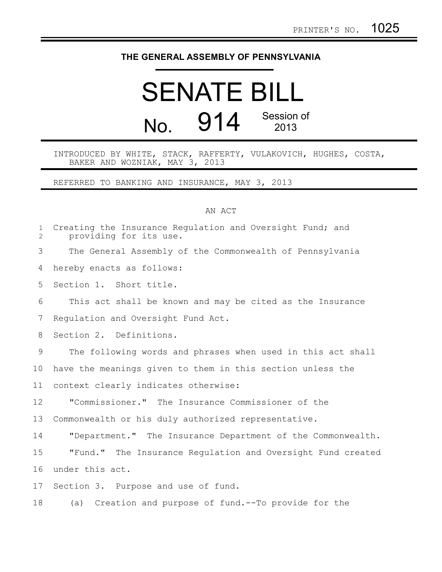## **THE GENERAL ASSEMBLY OF PENNSYLVANIA**

## SENATE BILL No. 914 Session of 2013

INTRODUCED BY WHITE, STACK, RAFFERTY, VULAKOVICH, HUGHES, COSTA, BAKER AND WOZNIAK, MAY 3, 2013

REFERRED TO BANKING AND INSURANCE, MAY 3, 2013

## AN ACT

| $\mathbf{1}$<br>$\mathbf{2}$ | Creating the Insurance Regulation and Oversight Fund; and<br>providing for its use. |
|------------------------------|-------------------------------------------------------------------------------------|
| 3                            | The General Assembly of the Commonwealth of Pennsylvania                            |
| 4                            | hereby enacts as follows:                                                           |
| 5                            | Section 1. Short title.                                                             |
| 6                            | This act shall be known and may be cited as the Insurance                           |
| 7                            | Requlation and Oversight Fund Act.                                                  |
| 8                            | Section 2. Definitions.                                                             |
| 9                            | The following words and phrases when used in this act shall                         |
| 10                           | have the meanings given to them in this section unless the                          |
| 11                           | context clearly indicates otherwise:                                                |
| 12                           | "Commissioner." The Insurance Commissioner of the                                   |
| 13                           | Commonwealth or his duly authorized representative.                                 |
| 14                           | "Department." The Insurance Department of the Commonwealth.                         |
| 15                           | "Fund." The Insurance Requlation and Oversight Fund created                         |
| 16                           | under this act.                                                                     |
| 17                           | Section 3. Purpose and use of fund.                                                 |
| 18                           | (a) Creation and purpose of fund.--To provide for the                               |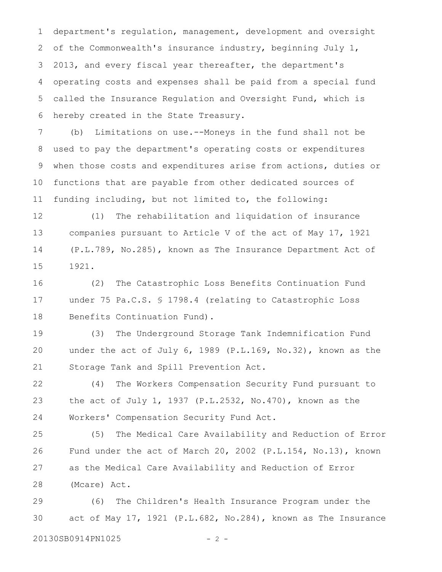department's regulation, management, development and oversight of the Commonwealth's insurance industry, beginning July 1, 2013, and every fiscal year thereafter, the department's operating costs and expenses shall be paid from a special fund called the Insurance Regulation and Oversight Fund, which is hereby created in the State Treasury. 1 2 3 4 5 6

(b) Limitations on use.--Moneys in the fund shall not be used to pay the department's operating costs or expenditures when those costs and expenditures arise from actions, duties or functions that are payable from other dedicated sources of funding including, but not limited to, the following: 7 8 9 10 11

(1) The rehabilitation and liquidation of insurance companies pursuant to Article V of the act of May 17, 1921 (P.L.789, No.285), known as The Insurance Department Act of 1921. 12 13 14 15

(2) The Catastrophic Loss Benefits Continuation Fund under 75 Pa.C.S. § 1798.4 (relating to Catastrophic Loss Benefits Continuation Fund). 16 17 18

(3) The Underground Storage Tank Indemnification Fund under the act of July 6, 1989 (P.L.169, No.32), known as the Storage Tank and Spill Prevention Act. 19 20 21

(4) The Workers Compensation Security Fund pursuant to the act of July 1, 1937 (P.L.2532, No.470), known as the Workers' Compensation Security Fund Act. 22 23 24

(5) The Medical Care Availability and Reduction of Error Fund under the act of March 20, 2002 (P.L.154, No.13), known as the Medical Care Availability and Reduction of Error (Mcare) Act. 25 26 27 28

(6) The Children's Health Insurance Program under the act of May 17, 1921 (P.L.682, No.284), known as The Insurance 20130SB0914PN1025 - 2 -29 30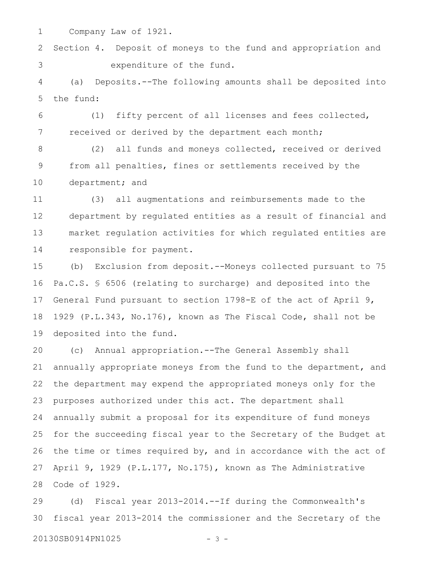Company Law of 1921. 1

Section 4. Deposit of moneys to the fund and appropriation and expenditure of the fund. 2 3

(a) Deposits.--The following amounts shall be deposited into the fund: 4 5

(1) fifty percent of all licenses and fees collected, received or derived by the department each month; 6 7

(2) all funds and moneys collected, received or derived from all penalties, fines or settlements received by the department; and 8 9 10

(3) all augmentations and reimbursements made to the department by regulated entities as a result of financial and market regulation activities for which regulated entities are responsible for payment. 11 12 13 14

(b) Exclusion from deposit.--Moneys collected pursuant to 75 Pa.C.S. § 6506 (relating to surcharge) and deposited into the General Fund pursuant to section 1798-E of the act of April 9, 1929 (P.L.343, No.176), known as The Fiscal Code, shall not be deposited into the fund. 15 16 17 18 19

(c) Annual appropriation.--The General Assembly shall annually appropriate moneys from the fund to the department, and the department may expend the appropriated moneys only for the purposes authorized under this act. The department shall annually submit a proposal for its expenditure of fund moneys for the succeeding fiscal year to the Secretary of the Budget at the time or times required by, and in accordance with the act of April 9, 1929 (P.L.177, No.175), known as The Administrative Code of 1929. 20 21 22 23 24 25 26 27 28

(d) Fiscal year 2013-2014.--If during the Commonwealth's fiscal year 2013-2014 the commissioner and the Secretary of the 29 30

20130SB0914PN1025 - 3 -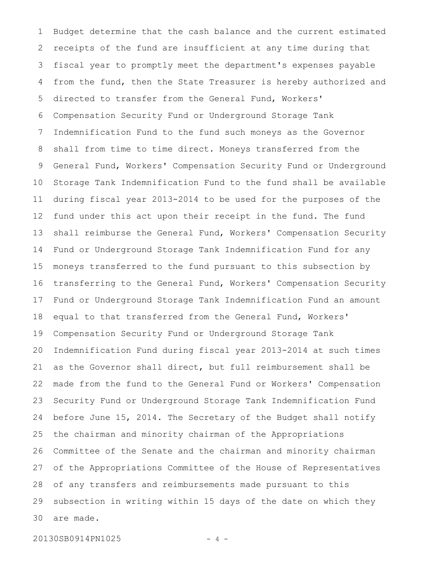Budget determine that the cash balance and the current estimated receipts of the fund are insufficient at any time during that fiscal year to promptly meet the department's expenses payable from the fund, then the State Treasurer is hereby authorized and directed to transfer from the General Fund, Workers' Compensation Security Fund or Underground Storage Tank Indemnification Fund to the fund such moneys as the Governor shall from time to time direct. Moneys transferred from the General Fund, Workers' Compensation Security Fund or Underground Storage Tank Indemnification Fund to the fund shall be available during fiscal year 2013-2014 to be used for the purposes of the fund under this act upon their receipt in the fund. The fund shall reimburse the General Fund, Workers' Compensation Security Fund or Underground Storage Tank Indemnification Fund for any moneys transferred to the fund pursuant to this subsection by transferring to the General Fund, Workers' Compensation Security Fund or Underground Storage Tank Indemnification Fund an amount equal to that transferred from the General Fund, Workers' Compensation Security Fund or Underground Storage Tank Indemnification Fund during fiscal year 2013-2014 at such times as the Governor shall direct, but full reimbursement shall be made from the fund to the General Fund or Workers' Compensation Security Fund or Underground Storage Tank Indemnification Fund before June 15, 2014. The Secretary of the Budget shall notify the chairman and minority chairman of the Appropriations Committee of the Senate and the chairman and minority chairman of the Appropriations Committee of the House of Representatives of any transfers and reimbursements made pursuant to this subsection in writing within 15 days of the date on which they are made. 1 2 3 4 5 6 7 8 9 10 11 12 13 14 15 16 17 18 19 20 21 22 23 24 25 26 27 28 29 30

20130SB0914PN1025 - 4 -